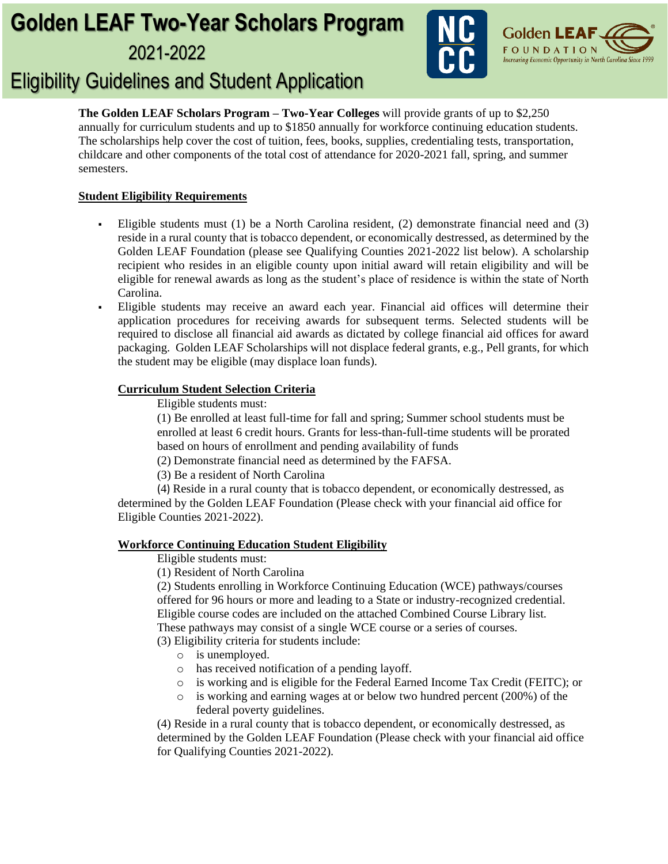# **Golden LEAF Two-Year Scholars Program**  2021-2022





# Eligibility Guidelines and Student Application

**The Golden LEAF Scholars Program – Two-Year Colleges** will provide grants of up to \$2,250 annually for curriculum students and up to \$1850 annually for workforce continuing education students. The scholarships help cover the cost of tuition, fees, books, supplies, credentialing tests, transportation, childcare and other components of the total cost of attendance for 2020-2021 fall, spring, and summer semesters.

# **Student Eligibility Requirements**

- Eligible students must  $(1)$  be a North Carolina resident,  $(2)$  demonstrate financial need and  $(3)$ reside in a rural county that is tobacco dependent, or economically destressed, as determined by the Golden LEAF Foundation (please see Qualifying Counties 2021-2022 list below). A scholarship recipient who resides in an eligible county upon initial award will retain eligibility and will be eligible for renewal awards as long as the student's place of residence is within the state of North Carolina.
- Eligible students may receive an award each year. Financial aid offices will determine their application procedures for receiving awards for subsequent terms. Selected students will be required to disclose all financial aid awards as dictated by college financial aid offices for award packaging. Golden LEAF Scholarships will not displace federal grants, e.g., Pell grants, for which the student may be eligible (may displace loan funds).

## **Curriculum Student Selection Criteria**

Eligible students must:

(1) Be enrolled at least full-time for fall and spring; Summer school students must be enrolled at least 6 credit hours. Grants for less-than-full-time students will be prorated based on hours of enrollment and pending availability of funds

(2) Demonstrate financial need as determined by the FAFSA.

(3) Be a resident of North Carolina

(4) Reside in a rural county that is tobacco dependent, or economically destressed, as determined by the Golden LEAF Foundation (Please check with your financial aid office for Eligible Counties 2021-2022).

## **Workforce Continuing Education Student Eligibility**

Eligible students must:

(1) Resident of North Carolina

(2) Students enrolling in Workforce Continuing Education (WCE) pathways/courses offered for 96 hours or more and leading to a State or industry-recognized credential. Eligible course codes are included on the attached Combined Course Library list. These pathways may consist of a single WCE course or a series of courses.

(3) Eligibility criteria for students include:

- o is unemployed.
- o has received notification of a pending layoff.
- o is working and is eligible for the Federal Earned Income Tax Credit (FEITC); or
- o is working and earning wages at or below two hundred percent (200%) of the federal poverty guidelines.

(4) Reside in a rural county that is tobacco dependent, or economically destressed, as determined by the Golden LEAF Foundation (Please check with your financial aid office for Qualifying Counties 2021-2022).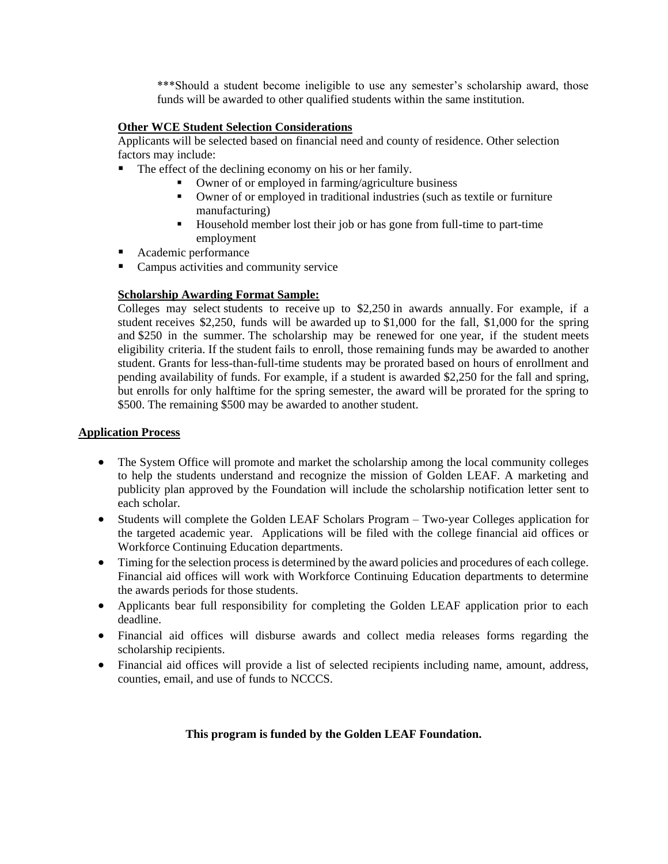\*\*\*Should a student become ineligible to use any semester's scholarship award, those funds will be awarded to other qualified students within the same institution.

### **Other WCE Student Selection Considerations**

Applicants will be selected based on financial need and county of residence. Other selection factors may include:

- The effect of the declining economy on his or her family.
	- Owner of or employed in farming/agriculture business
	- Owner of or employed in traditional industries (such as textile or furniture manufacturing)
	- Household member lost their job or has gone from full-time to part-time employment
- Academic performance
- Campus activities and community service

### **Scholarship Awarding Format Sample:**

Colleges may select students to receive up to \$2,250 in awards annually. For example, if a student receives \$2,250, funds will be awarded up to \$1,000 for the fall, \$1,000 for the spring and \$250 in the summer. The scholarship may be renewed for one year, if the student meets eligibility criteria. If the student fails to enroll, those remaining funds may be awarded to another student. Grants for less-than-full-time students may be prorated based on hours of enrollment and pending availability of funds. For example, if a student is awarded \$2,250 for the fall and spring, but enrolls for only halftime for the spring semester, the award will be prorated for the spring to \$500. The remaining \$500 may be awarded to another student.

### **Application Process**

- The System Office will promote and market the scholarship among the local community colleges to help the students understand and recognize the mission of Golden LEAF. A marketing and publicity plan approved by the Foundation will include the scholarship notification letter sent to each scholar.
- Students will complete the Golden LEAF Scholars Program Two-year Colleges application for the targeted academic year. Applications will be filed with the college financial aid offices or Workforce Continuing Education departments.
- Timing for the selection process is determined by the award policies and procedures of each college. Financial aid offices will work with Workforce Continuing Education departments to determine the awards periods for those students.
- Applicants bear full responsibility for completing the Golden LEAF application prior to each deadline.
- Financial aid offices will disburse awards and collect media releases forms regarding the scholarship recipients.
- Financial aid offices will provide a list of selected recipients including name, amount, address, counties, email, and use of funds to NCCCS.

#### **This program is funded by the Golden LEAF Foundation.**